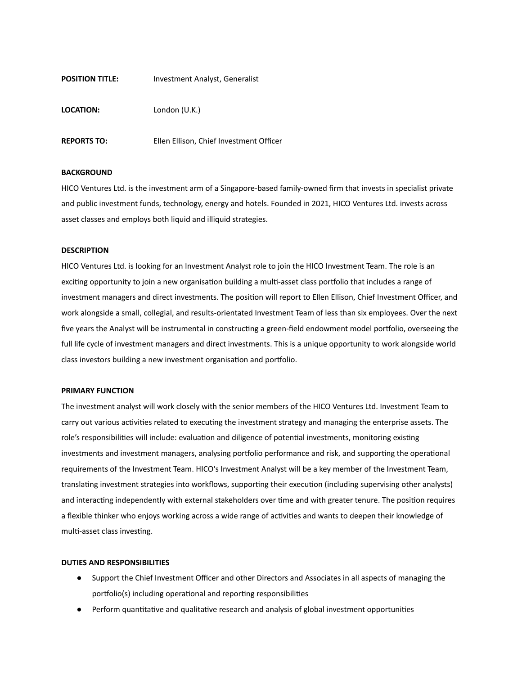# **POSITION TITLE:** Investment Analyst, Generalist

**LOCATION:** London (U.K.)

**REPORTS TO:** Ellen Ellison, Chief Investment Officer

### **BACKGROUND**

HICO Ventures Ltd. is the investment arm of a Singapore-based family-owned firm that invests in specialist private and public investment funds, technology, energy and hotels. Founded in 2021, HICO Ventures Ltd. invests across asset classes and employs both liquid and illiquid strategies.

### **DESCRIPTION**

HICO Ventures Ltd. is looking for an Investment Analyst role to join the HICO Investment Team. The role is an exciting opportunity to join a new organisation building a multi-asset class portfolio that includes a range of investment managers and direct investments. The position will report to Ellen Ellison, Chief Investment Officer, and work alongside a small, collegial, and results-orientated Investment Team of less than six employees. Over the next five years the Analyst will be instrumental in constructing a green-field endowment model portfolio, overseeing the full life cycle of investment managers and direct investments. This is a unique opportunity to work alongside world class investors building a new investment organisation and portfolio.

#### **PRIMARY FUNCTION**

The investment analyst will work closely with the senior members of the HICO Ventures Ltd. Investment Team to carry out various activities related to executing the investment strategy and managing the enterprise assets. The role's responsibilities will include: evaluation and diligence of potential investments, monitoring existing investments and investment managers, analysing portfolio performance and risk, and supporting the operational requirements of the Investment Team. HICO's Investment Analyst will be a key member of the Investment Team, translating investment strategies into workflows, supporting their execution (including supervising other analysts) and interacting independently with external stakeholders over time and with greater tenure. The position requires a flexible thinker who enjoys working across a wide range of activities and wants to deepen their knowledge of multi-asset class investing.

### **DUTIES AND RESPONSIBILITIES**

- Support the Chief Investment Officer and other Directors and Associates in all aspects of managing the portfolio(s) including operational and reporting responsibilities
- Perform quantitative and qualitative research and analysis of global investment opportunities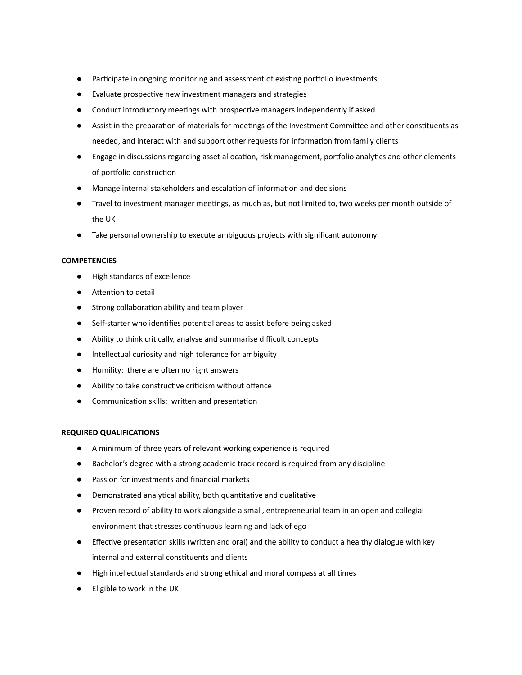- Participate in ongoing monitoring and assessment of existing portfolio investments
- Evaluate prospective new investment managers and strategies
- Conduct introductory meetings with prospective managers independently if asked
- Assist in the preparation of materials for meetings of the Investment Committee and other constituents as needed, and interact with and support other requests for information from family clients
- Engage in discussions regarding asset allocation, risk management, portfolio analytics and other elements of portfolio construction
- Manage internal stakeholders and escalation of information and decisions
- Travel to investment manager meetings, as much as, but not limited to, two weeks per month outside of the UK
- Take personal ownership to execute ambiguous projects with significant autonomy

# **COMPETENCIES**

- High standards of excellence
- Attention to detail
- Strong collaboration ability and team player
- Self-starter who identifies potential areas to assist before being asked
- Ability to think crically, analyse and summarise difficult concepts
- Intellectual curiosity and high tolerance for ambiguity
- Humility: there are often no right answers
- Ability to take constructive criticism without offence
- Communication skills: written and presentation

# **REQUIRED QUALIFICATIONS**

- A minimum of three years of relevant working experience is required
- Bachelor's degree with a strong academic track record is required from any discipline
- Passion for investments and financial markets
- Demonstrated analytical ability, both quantitative and qualitative
- Proven record of ability to work alongside a small, entrepreneurial team in an open and collegial environment that stresses continuous learning and lack of ego
- Effective presentation skills (written and oral) and the ability to conduct a healthy dialogue with key internal and external constituents and clients
- High intellectual standards and strong ethical and moral compass at all mes
- Eligible to work in the UK